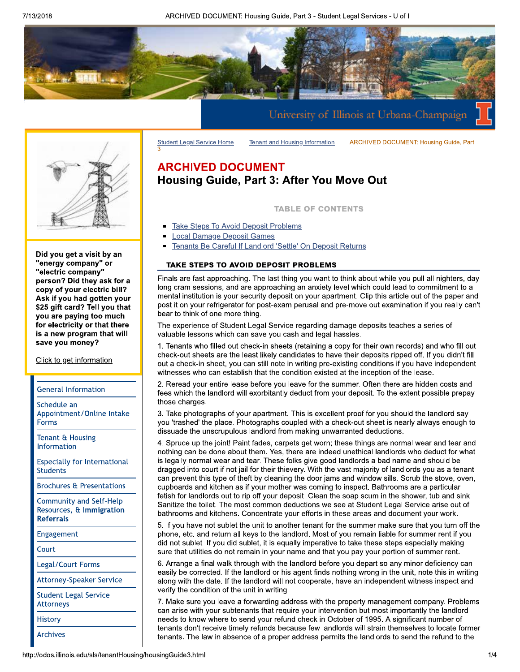ARCHIVED DOCUMENT: Housing Guide, Part 3 - Student Legal Services - U of I



Did you get a visit by an "energy company" or "electric company" person? Did they ask for a copy of your electric bill? Ask if you had gotten your \$25 gift card? Tell you that you are paying too much for electricity or that there is a new program that will save you money?

Click to get information

#### **General Information**

Schedule an Appointment/Online Intake **Forms** 

Tenant & Housing Information

**Especially for International Students** 

**Brochures & Presentations** 

**Community and Self-Help** Resources, & Immigration **Referrals** 

Engagement

Court

Legal/Court Forms

**Attorney-Speaker Service** 

**Student Legal Service Attorneys** 

**History** 

**Archives** 

# **ARCHIVED DOCUMENT Housing Guide, Part 3: After You Move Out**

**Tenant and Housing Information** 

**TABLE OF CONTENTS** 

**ARCHIVED DOCUMENT: Housing Guide, Part** 

- **Take Steps To Avoid Deposit Problems**
- **Local Damage Deposit Games**

**Student Legal Service Home** 

Tenants Be Careful If Landlord 'Settle' On Deposit Returns

## TAKE STEPS TO AVOID DEPOSIT PROBLEMS

Finals are fast approaching. The last thing you want to think about while you pull all nighters, day long cram sessions, and are approaching an anxiety level which could lead to commitment to a mental institution is your security deposit on your apartment. Clip this article out of the paper and post it on your refrigerator for post-exam perusal and pre-move out examination if you really can't bear to think of one more thing.

The experience of Student Legal Service regarding damage deposits teaches a series of valuable lessons which can save you cash and legal hassles.

1. Tenants who filled out check-in sheets (retaining a copy for their own records) and who fill out check-out sheets are the least likely candidates to have their deposits ripped off. If you didn't fill out a check-in sheet, you can still note in writing pre-existing conditions if you have independent witnesses who can establish that the condition existed at the inception of the lease.

2. Reread your entire lease before you leave for the summer. Often there are hidden costs and fees which the landlord will exorbitantly deduct from your deposit. To the extent possible prepay those charges.

3. Take photographs of your apartment. This is excellent proof for you should the landlord say you 'trashed' the place. Photographs coupled with a check-out sheet is nearly always enough to dissuade the unscrupulous landlord from making unwarranted deductions.

4. Spruce up the joint! Paint fades, carpets get worn; these things are normal wear and tear and nothing can be done about them. Yes, there are indeed unethical landlords who deduct for what is legally normal wear and tear. These folks give good landlords a bad name and should be dragged into court if not jail for their thievery. With the vast majority of landlords you as a tenant can prevent this type of theft by cleaning the door jams and window sills. Scrub the stove, oven, cupboards and kitchen as if your mother was coming to inspect. Bathrooms are a particular fetish for landlords out to rip off your deposit. Clean the soap scum in the shower, tub and sink. Sanitize the toilet. The most common deductions we see at Student Legal Service arise out of bathrooms and kitchens. Concentrate your efforts in these areas and document your work.

5. If you have not sublet the unit to another tenant for the summer make sure that you turn off the phone, etc. and return all keys to the landlord. Most of you remain liable for summer rent if you did not sublet. If you did sublet, it is equally imperative to take these steps especially making sure that utilities do not remain in your name and that you pay your portion of summer rent.

6. Arrange a final walk through with the landlord before you depart so any minor deficiency can easily be corrected. If the landlord or his agent finds nothing wrong in the unit, note this in writing along with the date. If the landlord will not cooperate, have an independent witness inspect and verify the condition of the unit in writing.

7. Make sure you leave a forwarding address with the property management company. Problems can arise with your subtenants that require your intervention but most importantly the landlord needs to know where to send your refund check in October of 1995. A significant number of tenants don't receive timely refunds because few landlords will strain themselves to locate former tenants. The law in absence of a proper address permits the landlords to send the refund to the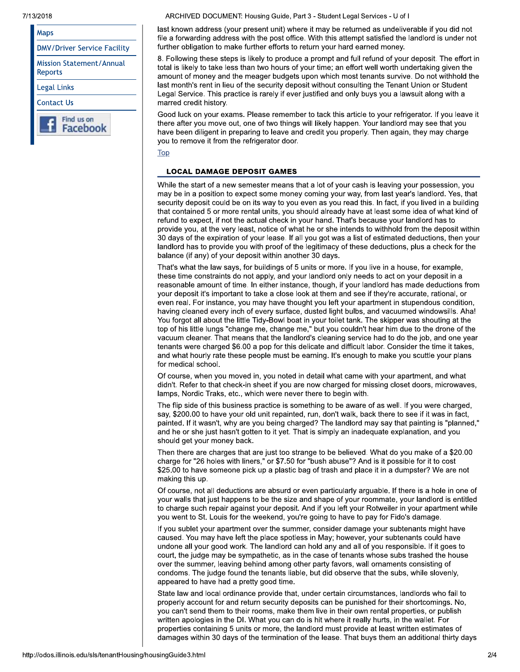7/13/2018

| Maps                                |
|-------------------------------------|
| <b>DMV/Driver Service Facility</b>  |
| Mission Statement/Annual<br>Reports |
| Legal Links                         |
| Contact Us                          |
| Find us on<br>Face                  |

ARCHIVED DOCUMENT: Housing Guide, Part 3 - Student Legal Services - U of I

last known address (your present unit) where it may be returned as undeliverable if you did not file a forwarding address with the post office. With this attempt satisfied the landlord is under not further obligation to make further efforts to return your hard earned money.

8. Following these steps is likely to produce a prompt and full refund of your deposit. The effort in total is likely to take less than two hours of your time; an effort well worth undertaking given the amount of money and the meager budgets upon which most tenants survive. Do not withhold the last month's rent in lieu of the security deposit without consulting the Tenant Union or Student Legal Service. This practice is rarely if ever justified and only buys you a lawsuit along with a marred credit history.

Good luck on your exams. Please remember to tack this article to your refrigerator. If you leave it there after you move out, one of two things will likely happen. Your landlord may see that you have been diligent in preparing to leave and credit you properly. Then again, they may charge you to remove it from the refrigerator door.

Top

## **LOCAL DAMAGE DEPOSIT GAMES**

While the start of a new semester means that a lot of your cash is leaving your possession, you may be in a position to expect some money coming your way, from last year's landlord. Yes, that security deposit could be on its way to you even as you read this. In fact, if you lived in a building that contained 5 or more rental units, you should already have at least some idea of what kind of refund to expect, if not the actual check in your hand. That's because your landlord has to provide you, at the very least, notice of what he or she intends to withhold from the deposit within 30 days of the expiration of your lease. If all you got was a list of estimated deductions, then your landlord has to provide you with proof of the legitimacy of these deductions, plus a check for the balance (if any) of your deposit within another 30 days.

That's what the law says, for buildings of 5 units or more. If you live in a house, for example, these time constraints do not apply, and your landlord only needs to act on your deposit in a reasonable amount of time. In either instance, though, if your landlord has made deductions from your deposit it's important to take a close look at them and see if they're accurate, rational, or even real. For instance, you may have thought you left your apartment in stupendous condition, having cleaned every inch of every surface, dusted light bulbs, and vacuumed windowsills. Aha! You forgot all about the little Tidy-Bowl boat in your toilet tank. The skipper was shouting at the top of his little lungs "change me, change me," but you couldn't hear him due to the drone of the vacuum cleaner. That means that the landlord's cleaning service had to do the job, and one year tenants were charged \$6.00 a pop for this delicate and difficult labor. Consider the time it takes, and what hourly rate these people must be earning. It's enough to make you scuttle your plans for medical school.

Of course, when you moved in, you noted in detail what came with your apartment, and what didn't. Refer to that check-in sheet if you are now charged for missing closet doors, microwaves, lamps, Nordic Traks, etc., which were never there to begin with.

The flip side of this business practice is something to be aware of as well. If you were charged, say, \$200.00 to have your old unit repainted, run, don't walk, back there to see if it was in fact, painted. If it wasn't, why are you being charged? The landlord may say that painting is "planned," and he or she just hasn't gotten to it yet. That is simply an inadequate explanation, and you should get your money back.

Then there are charges that are just too strange to be believed. What do you make of a \$20.00 charge for "26 holes with liners," or \$7.50 for "bush abuse"? And is it possible for it to cost \$25.00 to have someone pick up a plastic bag of trash and place it in a dumpster? We are not making this up.

Of course, not all deductions are absurd or even particularly arguable. If there is a hole in one of your walls that just happens to be the size and shape of your roommate, your landlord is entitled to charge such repair against your deposit. And if you left your Rotweiler in your apartment while you went to St. Louis for the weekend, you're going to have to pay for Fido's damage.

If you sublet your apartment over the summer, consider damage your subtenants might have caused. You may have left the place spotless in May; however, your subtenants could have undone all your good work. The landlord can hold any and all of you responsible. If it goes to court, the judge may be sympathetic, as in the case of tenants whose subs trashed the house over the summer, leaving behind among other party favors, wall ornaments consisting of condoms. The judge found the tenants liable, but did observe that the subs, while slovenly, appeared to have had a pretty good time.

State law and local ordinance provide that, under certain circumstances, landlords who fail to properly account for and return security deposits can be punished for their shortcomings. No, you can't send them to their rooms, make them live in their own rental properties, or publish written apologies in the DI. What you can do is hit where it really hurts, in the wallet. For properties containing 5 units or more, the landlord must provide at least written estimates of damages within 30 days of the termination of the lease. That buys them an additional thirty days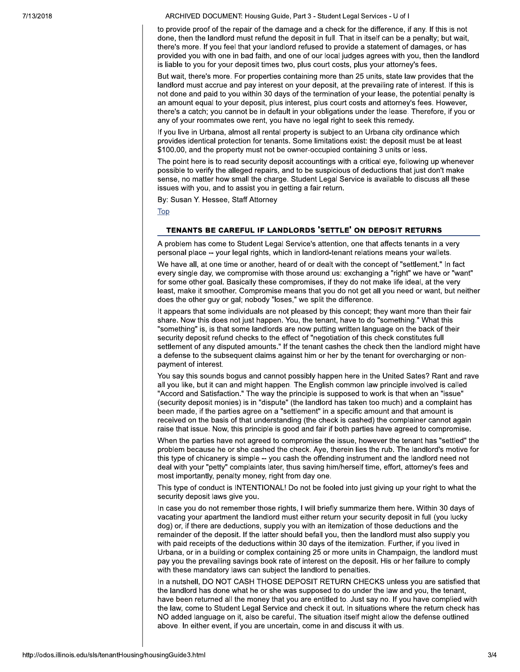ARCHIVED DOCUMENT: Housing Guide, Part 3 - Student Legal Services - U of I

to provide proof of the repair of the damage and a check for the difference, if any. If this is not done, then the landlord must refund the deposit in full. That in itself can be a penalty; but wait, there's more. If you feel that your landlord refused to provide a statement of damages, or has provided you with one in bad faith, and one of our local judges agrees with you, then the landlord is liable to you for your deposit times two, plus court costs, plus your attorney's fees.

But wait, there's more. For properties containing more than 25 units, state law provides that the landlord must accrue and pay interest on your deposit, at the prevailing rate of interest. If this is not done and paid to you within 30 days of the termination of your lease, the potential penalty is an amount equal to your deposit, plus interest, plus court costs and attorney's fees. However, there's a catch; you cannot be in default in your obligations under the lease. Therefore, if you or any of your roommates owe rent, you have no legal right to seek this remedy.

If you live in Urbana, almost all rental property is subject to an Urbana city ordinance which provides identical protection for tenants. Some limitations exist: the deposit must be at least \$100.00, and the property must not be owner-occupied containing 3 units or less.

The point here is to read security deposit accountings with a critical eve, following up whenever possible to verify the alleged repairs, and to be suspicious of deductions that just don't make sense, no matter how small the charge. Student Legal Service is available to discuss all these issues with you, and to assist you in getting a fair return.

By: Susan Y. Hessee, Staff Attorney

Top

#### TENANTS BE CAREFUL IF LANDLORDS 'SETTLE' ON DEPOSIT RETURNS

A problem has come to Student Legal Service's attention, one that affects tenants in a very personal place -- your legal rights, which in landlord-tenant relations means your wallets.

We have all, at one time or another, heard of or dealt with the concept of "settlement." In fact every single day, we compromise with those around us: exchanging a "right" we have or "want" for some other goal. Basically these compromises, if they do not make life ideal, at the very least, make it smoother. Compromise means that you do not get all you need or want, but neither does the other guy or gal; nobody "loses," we split the difference.

It appears that some individuals are not pleased by this concept; they want more than their fair share. Now this does not just happen. You, the tenant, have to do "something." What this "something" is, is that some landlords are now putting written language on the back of their security deposit refund checks to the effect of "negotiation of this check constitutes full settlement of any disputed amounts." If the tenant cashes the check then the landlord might have a defense to the subsequent claims against him or her by the tenant for overcharging or nonpayment of interest.

You say this sounds bogus and cannot possibly happen here in the United Sates? Rant and rave all you like, but it can and might happen. The English common law principle involved is called "Accord and Satisfaction." The way the principle is supposed to work is that when an "issue" (security deposit monies) is in "dispute" (the landlord has taken too much) and a complaint has been made, if the parties agree on a "settlement" in a specific amount and that amount is received on the basis of that understanding (the check is cashed) the complainer cannot again raise that issue. Now, this principle is good and fair if both parties have agreed to compromise.

When the parties have not agreed to compromise the issue, however the tenant has "settled" the problem because he or she cashed the check. Aye, therein lies the rub. The landlord's motive for this type of chicanery is simple -- you cash the offending instrument and the landlord need not deal with your "petty" complaints later, thus saving him/herself time, effort, attorney's fees and most importantly, penalty money, right from day one.

This type of conduct is INTENTIONAL! Do not be fooled into just giving up your right to what the security deposit laws give you.

In case you do not remember those rights, I will briefly summarize them here. Within 30 days of vacating your apartment the landlord must either return your security deposit in full (you lucky dog) or, if there are deductions, supply you with an itemization of those deductions and the remainder of the deposit. If the latter should befall you, then the landlord must also supply you with paid receipts of the deductions within 30 days of the itemization. Further, if you lived in Urbana, or in a building or complex containing 25 or more units in Champaign, the landlord must pay you the prevailing savings book rate of interest on the deposit. His or her failure to comply with these mandatory laws can subject the landlord to penalties.

In a nutshell, DO NOT CASH THOSE DEPOSIT RETURN CHECKS unless you are satisfied that the landlord has done what he or she was supposed to do under the law and you, the tenant, have been returned all the money that you are entitled to. Just say no. If you have complied with the law, come to Student Legal Service and check it out. In situations where the return check has NO added language on it, also be careful. The situation itself might allow the defense outlined above. In either event, if you are uncertain, come in and discuss it with us.